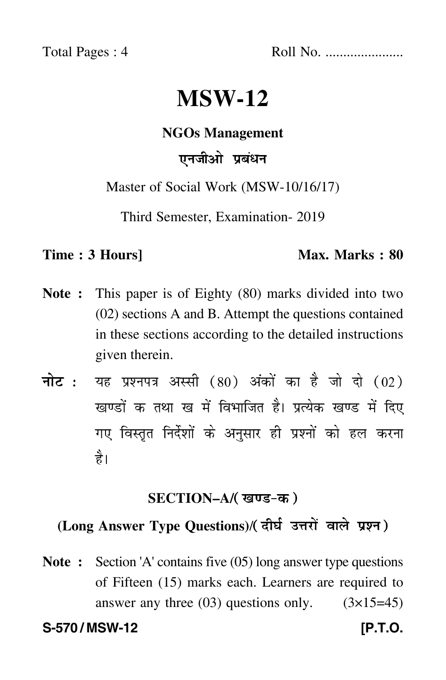Total Pages : 4 Roll No. ......................

# **MSW-12**

#### **NGOs Management**

# एनजीओ प्रबंधन

Master of Social Work (MSW-10/16/17)

Third Semester, Examination- 2019

#### **Time : 3 Hours]** Max. Marks : 80

- **Note :** This paper is of Eighty (80) marks divided into two (02) sections A and B. Attempt the questions contained in these sections according to the detailed instructions given therein.
- नोट : यह प्रश्नपत्र अस्सी (80) अंकों का है जो दो (02) खण्डों क तथा ख में विभाजित है। प्रत्येक खण्ड में दिए गए विस्तृत निर्देशों के अनुसार ही प्रश्नों को हल करन<mark>ा</mark> है।

#### **SECTION–A/**

# (Long Answer Type Questions)/( दीर्घ उत्तरों वाले प्रश्न )

**Note :** Section 'A' contains five (05) long answer type questions of Fifteen (15) marks each. Learners are required to answer any three  $(03)$  questions only.  $(3\times15=45)$ S-570 / MSW-12 **[P.T.O.**]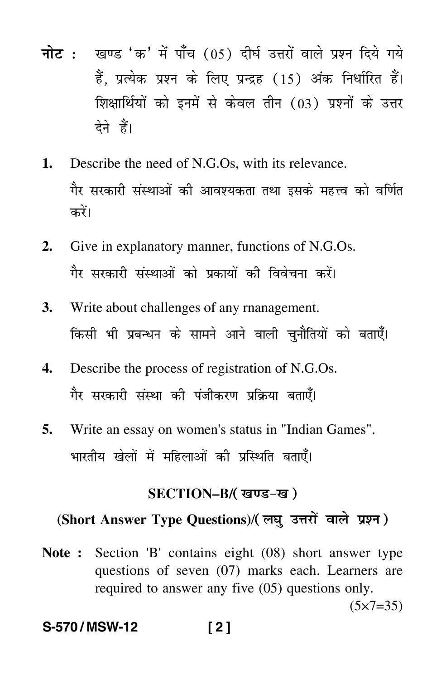- <mark>नोट</mark> : खण्ड 'क' में पाँच (05) दीर्घ उत्तरों वाले प्रश्न दिये गये हैं, प्रत्येक प्रश्न के लिए प्रन्द्रह (15) अंक निर्धारित हैं। शिक्षार्थियों को इनमें से केवल तीन (03) प्रश्नों के उत्तर देने हैं।
- **1.** Describe the need of N.G.Os, with its relevance. गैर सरकारी संस्थाओं की आवश्यकता तथा इसके महत्त्व को वर्णित करें।
- **2.** Give in explanatory manner, functions of N.G.Os. गैर सरकारी संस्थाओं को प्रकायों की विवेचना करें।
- **3.** Write about challenges of any rnanagement. किसी भी प्रबन्धन के सामने आने वाली चुनौतियों को बताएँ।
- **4.** Describe the process of registration of N.G.Os. गैर सरकारी संस्था की पंजीकरण प्रक्रिया बताएँ।
- **5.** Write an essay on women's status in "Indian Games". भारतीय खेलों में महिलाओं की प्रस्थिति बताएँ।

#### **SECTION–B/**

### (Short Answer Type Questions)/( लघु उत्तरों वाले प्रश्न )

**Note :** Section 'B' contains eight (08) short answer type questions of seven (07) marks each. Learners are required to answer any five (05) questions only.

 $(5 \times 7 = 35)$ 

#### **S-570 / MSW-12 [ 2 ]**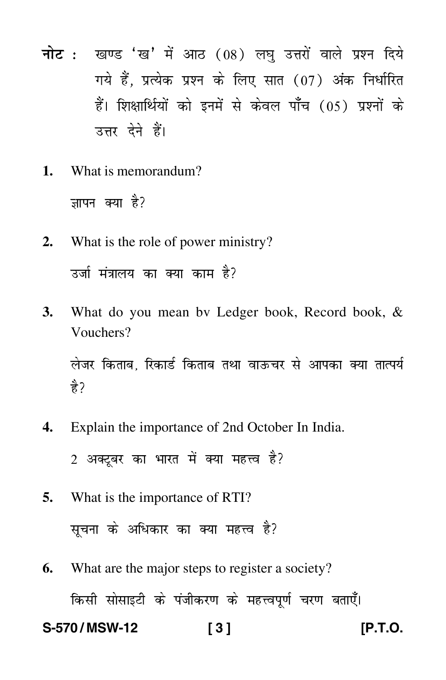- नोट: खण्ड 'ख' में आठ (08) लघु उत्तरों वाले प्रश्न दिये गये हैं. प्रत्येक प्रश्न के लिए सात (07) अंक निर्धारित हैं। शिक्षार्थियों को इनमें से केवल पाँच (05) प्रश्नों के उत्तर देने हैं।
- What is memorandum?  $\mathbf{1}$ . जापन क्या है?
- What is the role of power ministry?  $2.$ उर्जा मंत्रालय का क्या काम है?
- What do you mean by Ledger book, Record book, & 3. Vouchers? लेजर किताब. रिकार्ड किताब तथा वाऊचर से आपका क्या तात्पर्य है ?
- Explain the importance of 2nd October In India. 4.
	- 2 अक्टबर का भारत में क्या महत्त्व है?
- 5. What is the importance of RTI? सूचना के अधिकार का क्या महत्त्व है?
- What are the major steps to register a society? 6. किसी सोसाइटी के पंजीकरण के महत्त्वपूर्ण चरण बताएँ। S-570/MSW-12  $131$

IP.T.O.